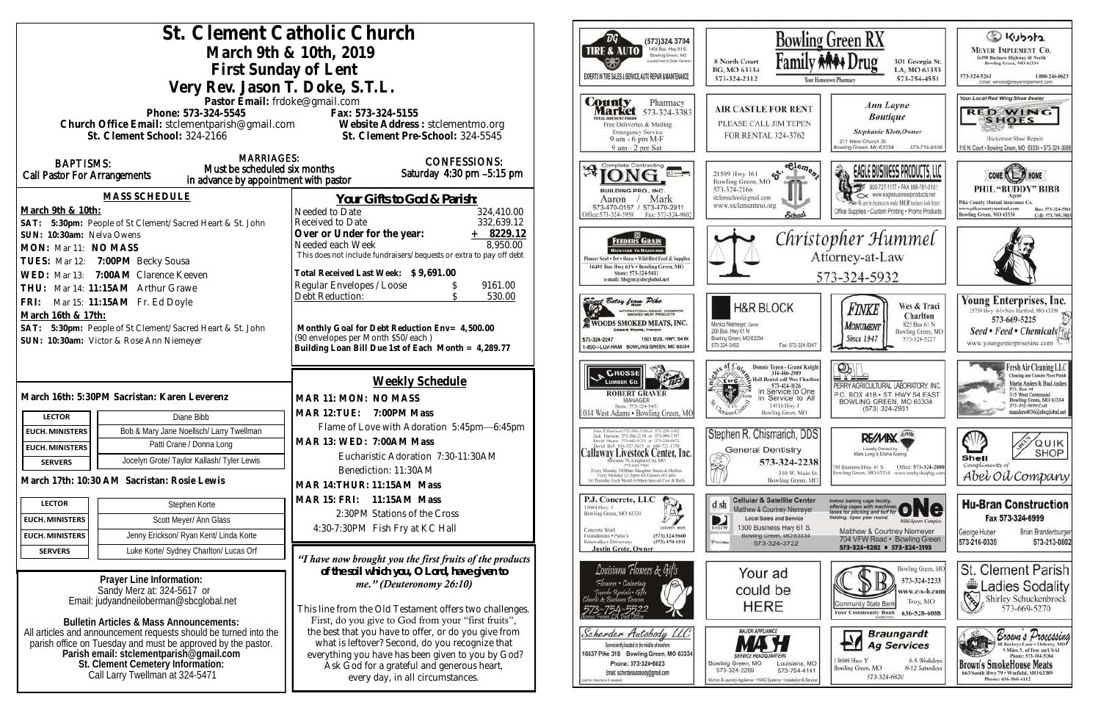|                                                                                                         |                                                           | St. Clement Catholic Church                                                                             | (573)324 3704                                                                                                                                        | Bow                                                                                |
|---------------------------------------------------------------------------------------------------------|-----------------------------------------------------------|---------------------------------------------------------------------------------------------------------|------------------------------------------------------------------------------------------------------------------------------------------------------|------------------------------------------------------------------------------------|
|                                                                                                         |                                                           | March 9th & 10th, 2019                                                                                  | 1400 Busi. Hwy 61 S.<br><b>TIRE &amp; AUTO</b><br>Bowling Green, MO                                                                                  |                                                                                    |
|                                                                                                         | First Sunday of Lent                                      | Located next to Dorter General                                                                          | Fami<br>8 North Court<br>BG, MO 63334                                                                                                                |                                                                                    |
|                                                                                                         |                                                           |                                                                                                         | EXPERTS IN THE SALES & SERVICE. AUTO REPAIR & MAINTENANCE                                                                                            | 573-324-2112                                                                       |
|                                                                                                         | Very Rev. Jason T. Doke, S.T.L.                           |                                                                                                         |                                                                                                                                                      |                                                                                    |
|                                                                                                         | Pastor Email: frdoke@gmail.com<br>Phone: 573-324-5545     | Fax: 573-324-5155                                                                                       | County<br>Pharmacy<br><b>Market</b> 573-324-3383                                                                                                     | <b>AIR CASTLE FOR RE</b>                                                           |
|                                                                                                         |                                                           | Phone: 573-324-5545<br>Church Office Email: stclementparish@gmail.com Vebsite Address : stclementmo.org | OTAL DISCOUNT FOOD!<br>Free Deliveries & Mailing                                                                                                     | PLEASE CALL JIM TEPI                                                               |
|                                                                                                         | St. Clement School: 324-2166                              | St. Clement Pre-School: 324-5545                                                                        | <b>Emergency Service</b><br>9 am - 6 pm M-F                                                                                                          | FOR RENTAL 324-376.                                                                |
|                                                                                                         | <b>MARRIAGES:</b>                                         |                                                                                                         | 9 am - 2 pm Sat                                                                                                                                      |                                                                                    |
| <b>BAPTISMS:</b>                                                                                        | Must be scheduled six months                              | <b>CONFESSIONS:</b><br>Saturday 4:30 pm -5:15 pm                                                        | Complete Contracting<br><b>*ION</b>                                                                                                                  | St. Cle<br>21509 Hwy 161                                                           |
| Call Pastor For Arrangements                                                                            | in advance by appointment with pastor                     |                                                                                                         |                                                                                                                                                      | Bowling Green, MO<br>573-324-2166                                                  |
|                                                                                                         | <b>MASS SCHEDULE</b>                                      | <u>Your Gifts to God &amp; Parish:</u>                                                                  | <b>BUILDING PRO., INC.</b><br>Mark<br>Aaron                                                                                                          | stelemschool@gmail.com                                                             |
| March 9th & 10th:                                                                                       |                                                           | Needed to Date<br>324,410.00                                                                            | 573-470-0157 / 573-470-2911<br>Office: 573-324-5958<br>Fax: 573-324-9802                                                                             | www.stelementmo.org<br><b>Schoo</b>                                                |
|                                                                                                         | SAT: 5:30pm: People of St Clement/Sacred Heart & St. John | 332,639.12<br>Received to Date                                                                          |                                                                                                                                                      |                                                                                    |
| SUN: 10:30am: Nelva Owens                                                                               |                                                           | $+ 8229.12$<br>Over or Under for the year:<br>8,950.00<br>Needed each Week                              | FEEDERS GRAIN                                                                                                                                        | Chr                                                                                |
| MON: Mar 11: NO MASS                                                                                    |                                                           | This does not include fundraisers/bequests or extra to pay off debt                                     | <b>BACKYARD TO BASSYARD</b><br>Pioneer Seed . Pet . Horse . Wild Bird Feed & Supplies                                                                |                                                                                    |
| TUES: Mar 12: 7:00PM Becky Sousa<br>WED: Mar 13: 7:00AM Clarence Keeven                                 |                                                           | Total Received Last Week: \$9,691.00                                                                    | 16491 Bus Hwy 61N . Bowling Green, MO<br>Store: 573-324-5411                                                                                         |                                                                                    |
| THU: Mar 14: 11:15AM Arthur Grawe                                                                       |                                                           | Regular Envelopes / Loose<br>9161.00                                                                    | e-mail: fdsgrn@sheglobal.net                                                                                                                         |                                                                                    |
| FRI: Mar 15: 11:15AM Fr. Ed Doyle                                                                       |                                                           | Debt Reduction:<br>530.00                                                                               | Since Betsy from Pike                                                                                                                                |                                                                                    |
| March 16th & 17th:                                                                                      |                                                           |                                                                                                         | INTERNATIONAL GRAND CHAMPION                                                                                                                         | <b>H&amp;R BLOCK</b>                                                               |
| SAT: 5:30pm: People of St Clement/Sacred Heart & St. John                                               |                                                           | Monthly Goal for Debt Reduction Env= 4,500.00                                                           | <b>E WOODS SMOKED MEATS, INC.</b><br>Edward Woods, President                                                                                         | Monica Niemeyer, Owner<br>206 Bus. Hwy 61 N                                        |
| SUN: 10:30am: Victor & Rose Ann Niemeyer                                                                |                                                           | (90 envelopes per Month \$50/each)<br>Building Loan Bill Due 1st of Each Month = 4,289.77               | 1501 BUS, HWY, 54 W.<br>573-324-2247<br>-800-I-LUV-HAM BOWLING GREEN, MO 63334                                                                       | Bowling Green, MO 63334<br>Fax: 573-32<br>573-324-3402                             |
|                                                                                                         |                                                           |                                                                                                         |                                                                                                                                                      |                                                                                    |
|                                                                                                         |                                                           |                                                                                                         | <b>CROSSE</b>                                                                                                                                        | <b>Donnie Tepen - Grand</b><br>314-486-2989<br><sup>2</sup> Hall Rental call Wes C |
|                                                                                                         |                                                           | Weekly Schedule                                                                                         | <b>LUMBER CO.</b><br><b>ROBERT GRAVER</b>                                                                                                            | K or C<br>573-424-1126<br>In Service to (<br>In Service to                         |
| March 16th: 5:30PM Sacristan: Karen Leverenz                                                            |                                                           | MAR 11: MON: NO MASS                                                                                    | <b>MANAGER</b><br>Store: 573-324-5431                                                                                                                | 14516 Hwy J                                                                        |
| <b>LECTOR</b>                                                                                           | Diane Bibb                                                | MAR 12: TUE: 7:00PM Mass                                                                                | 1014 West Adams . Bowling Green, MO                                                                                                                  | Bowling Green, M                                                                   |
| <b>EUCH. MINISTERS</b>                                                                                  | Bob & Mary Jane Noellsch/ Larry Twellman                  | Flame of Love with Adoration 5:45pm-6:45pm                                                              | olts P. Harrison 373-386-5130 or 573-220-1482                                                                                                        | Stephen R. Chismarich, I                                                           |
| <b>EUCH. MINISTERS</b>                                                                                  | Patti Crane / Donna Long                                  | MAR 13: WED: 7:00AM Mass                                                                                | Jock Hurrison 573-386-2138 or 573-994-7197<br>David Mause 573-642-9751 or 573-220-0472<br>David Bell 816-327-5633 or 660-721-1370                    | <b>General Dentistry</b>                                                           |
| Jocelyn Grote/ Taylor Kallash/ Tyler Lewis<br><b>SERVERS</b>                                            |                                                           | Eucharistic Adoration 7:30-11:30AM                                                                      | Callaway Livestock Center, Inc.<br>573-642-7486                                                                                                      | Ž<br>573-324-2                                                                     |
| March 17th: 10:30 AM Sacristan: Rosie Lewis                                                             |                                                           | Benediction: 11:30AM                                                                                    | Every Monday 10:00am Shinghter Steers & Heilers<br>Every Monitay 12:30pm All Classes of Cattle<br>1st Thursday Each Month 6:00pm Special Cow & Hull- | 310 W. M<br><b>Bowling Gree</b>                                                    |
|                                                                                                         |                                                           | MAR 14: THUR: 11:15AM Mass                                                                              |                                                                                                                                                      |                                                                                    |
| <b>LECTOR</b>                                                                                           | Stephen Korte                                             | MAR 15: FRI: 11:15AM Mass                                                                               | P.J. Concrete, LLC<br>15084 Hwy. J<br>A.<br>Bowling Green, MO 63334                                                                                  | <b>Cellular &amp; Satellite Ce</b><br>d sh<br>Matthew & Courtney Niems             |
| <b>EUCH. MINISTERS</b>                                                                                  | Scott Meyer/ Ann Glass                                    | 2:30PM Stations of the Cross                                                                            | <b>CONCRETE WORK</b>                                                                                                                                 | <b>Local Sales and Service</b><br>D<br>1300 Business Hwy 61                        |
| <b>EUCH. MINISTERS</b>                                                                                  | Jenny Erickson/ Ryan Kent/ Linda Korte                    | 4:30-7:30PM Fish Fry at KC Hall                                                                         | Concrete Work<br>Foundations . Patio's<br>(573) 324-5660<br>Sidewalks + Driveways<br>$(573)$ 470-1511                                                | DIRECTY<br>Bowling Green, MO 633<br>PUGAL:                                         |
| <b>SERVERS</b>                                                                                          | Luke Korte/ Sydney Charlton/ Lucas Orf                    |                                                                                                         | <b>Justin Grote, Owner</b>                                                                                                                           | 573-324-3722                                                                       |
|                                                                                                         |                                                           | "I have now brought you the first fruits of the products                                                | Louisiana Flowers & Gifts                                                                                                                            |                                                                                    |
|                                                                                                         | Prayer Line Information:                                  | of the soil which you, O Lord, have given to<br>me." (Deuteronomy 26:10)                                | Flowers • Catering                                                                                                                                   | Your ad                                                                            |
| Sandy Merz at: 324-5617 or                                                                              |                                                           |                                                                                                         | Tupindo Rentals · Gifts<br>harle & Barlanca Deseno                                                                                                   | could be                                                                           |
| Email: judyandheiloberman@sbcglobal.net                                                                 |                                                           | This line from the Old Testament offers two challenges.                                                 |                                                                                                                                                      | <b>HERE</b>                                                                        |
| Bulletin Articles & Mass Announcements:                                                                 |                                                           | First, do you give to God from your "first fruits",                                                     |                                                                                                                                                      |                                                                                    |
| All articles and announcement requests should be turned into the                                        |                                                           | the best that you have to offer, or do you give from<br>what is leftover? Second, do you recognize that | Scherder Autobody LLC                                                                                                                                | <b>MAJOR APPLIANCE</b>                                                             |
| parish office on Tuesday and must be approved by the pastor.<br>Parish email: stclementparish@gmail.com |                                                           | everything you have has been given to you by God?                                                       | Conveniently located in the middle of nowhere<br>16637 Pike 318 Bowling Green, MO 63334                                                              |                                                                                    |
| St. Clement Cemetery Information:                                                                       |                                                           | Ask God for a grateful and generous heart,                                                              | Phone: 573-324-6023<br>Email: scherderautobody@gmail.com                                                                                             | Bowling Green, MO<br>Louisiana<br>573-324-2259<br>573-754-                         |
| Call Larry Twellman at 324-5471                                                                         |                                                           | every day, in all circumstances.                                                                        | al for descripts if readed                                                                                                                           | Kitchen & Laundry Appliance - HWLC Systems - Installation                          |
|                                                                                                         |                                                           |                                                                                                         |                                                                                                                                                      |                                                                                    |